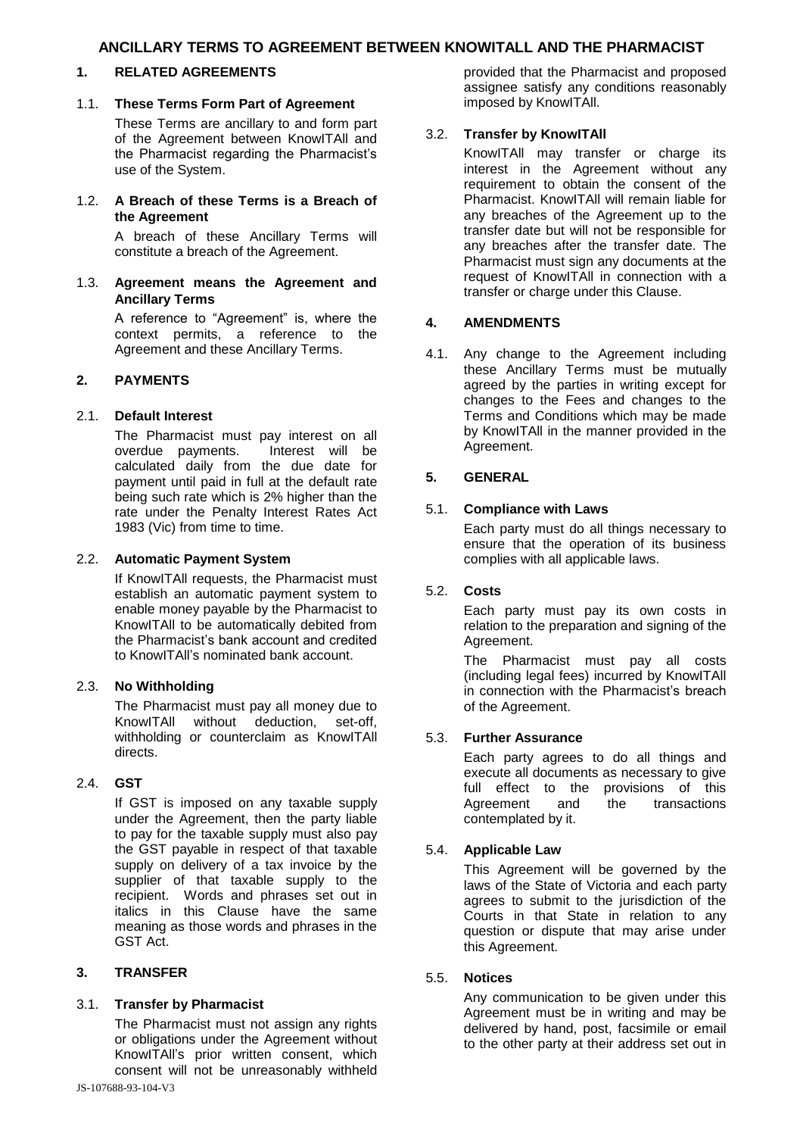## **1. RELATED AGREEMENTS**

### 1.1. **These Terms Form Part of Agreement**

These Terms are ancillary to and form part of the Agreement between KnowITAll and the Pharmacist regarding the Pharmacist's use of the System.

1.2. **A Breach of these Terms is a Breach of the Agreement**

> A breach of these Ancillary Terms will constitute a breach of the Agreement.

1.3. **Agreement means the Agreement and Ancillary Terms**

> A reference to "Agreement" is, where the context permits, a reference to the Agreement and these Ancillary Terms.

## **2. PAYMENTS**

## 2.1. **Default Interest**

The Pharmacist must pay interest on all<br>overdue payments. Interest will be overdue payments. calculated daily from the due date for payment until paid in full at the default rate being such rate which is 2% higher than the rate under the Penalty Interest Rates Act 1983 (Vic) from time to time.

### 2.2. **Automatic Payment System**

If KnowITAll requests, the Pharmacist must establish an automatic payment system to enable money payable by the Pharmacist to KnowITAll to be automatically debited from the Pharmacist's bank account and credited to KnowITAll's nominated bank account.

### 2.3. **No Withholding**

The Pharmacist must pay all money due to KnowITAll without deduction, set-off, withholding or counterclaim as KnowITAll directs.

### 2.4. **GST**

If GST is imposed on any taxable supply under the Agreement, then the party liable to pay for the taxable supply must also pay the GST payable in respect of that taxable supply on delivery of a tax invoice by the supplier of that taxable supply to the recipient. Words and phrases set out in italics in this Clause have the same meaning as those words and phrases in the GST Act.

### **3. TRANSFER**

### 3.1. **Transfer by Pharmacist**

The Pharmacist must not assign any rights or obligations under the Agreement without KnowITAll's prior written consent, which consent will not be unreasonably withheld provided that the Pharmacist and proposed assignee satisfy any conditions reasonably imposed by KnowITAll.

## 3.2. **Transfer by KnowITAll**

KnowITAll may transfer or charge its interest in the Agreement without any requirement to obtain the consent of the Pharmacist. KnowITAll will remain liable for any breaches of the Agreement up to the transfer date but will not be responsible for any breaches after the transfer date. The Pharmacist must sign any documents at the request of KnowITAll in connection with a transfer or charge under this Clause.

# **4. AMENDMENTS**

4.1. Any change to the Agreement including these Ancillary Terms must be mutually agreed by the parties in writing except for changes to the Fees and changes to the Terms and Conditions which may be made by KnowITAll in the manner provided in the Agreement.

### **5. GENERAL**

## 5.1. **Compliance with Laws**

Each party must do all things necessary to ensure that the operation of its business complies with all applicable laws.

## 5.2. **Costs**

Each party must pay its own costs in relation to the preparation and signing of the Agreement.

The Pharmacist must pay all costs (including legal fees) incurred by KnowITAll in connection with the Pharmacist's breach of the Agreement.

### 5.3. **Further Assurance**

Each party agrees to do all things and execute all documents as necessary to give full effect to the provisions of this Agreement and the transactions contemplated by it.

### 5.4. **Applicable Law**

This Agreement will be governed by the laws of the State of Victoria and each party agrees to submit to the jurisdiction of the Courts in that State in relation to any question or dispute that may arise under this Agreement.

### 5.5. **Notices**

Any communication to be given under this Agreement must be in writing and may be delivered by hand, post, facsimile or email to the other party at their address set out in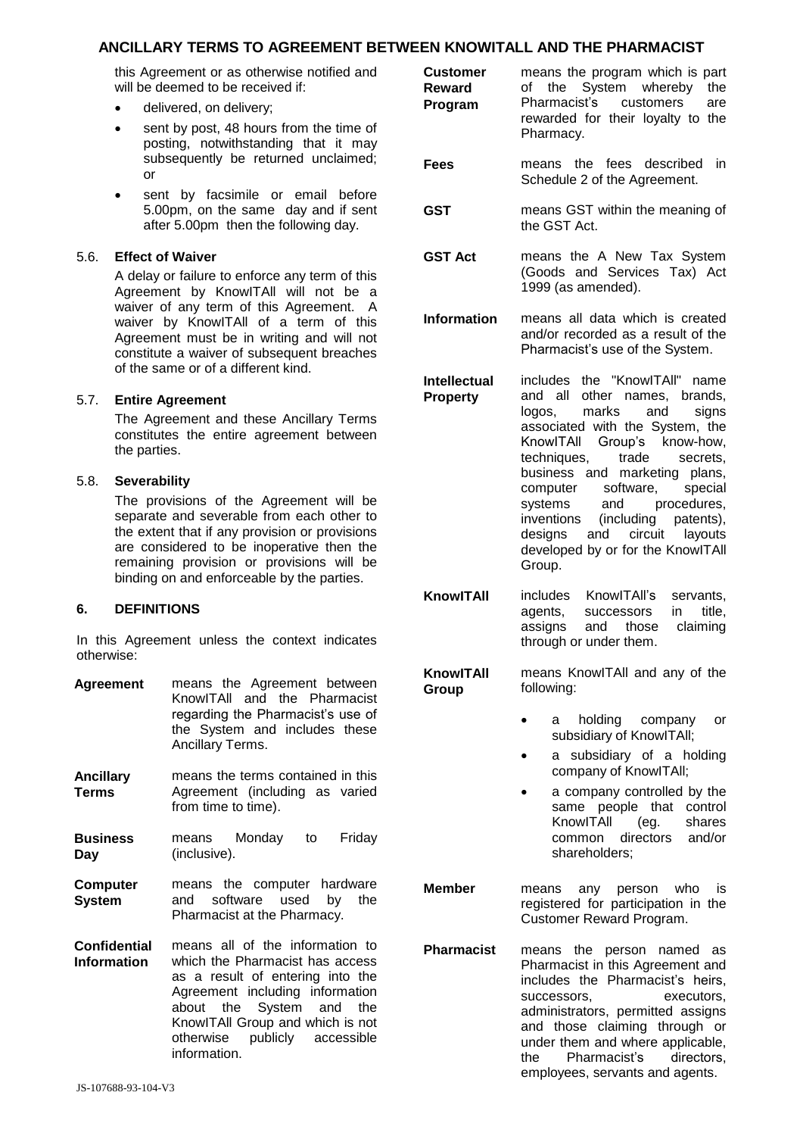## **ANCILLARY TERMS TO AGREEMENT BETV**

this Agreement or as otherwise notified and will be deemed to be received if:

- delivered, on delivery;
- sent by post, 48 hours from the time of posting, notwithstanding that it may subsequently be returned unclaimed; or
- sent by facsimile or email before 5.00pm, on the same day and if sent after 5.00pm then the following day.

#### 5.6. **Effect of Waiver**

A delay or failure to enforce any term of this Agreement by KnowITAll will not be a waiver of any term of this Agreement. A waiver by KnowITAll of a term of this Agreement must be in writing and will not constitute a waiver of subsequent breaches of the same or of a different kind.

### 5.7. **Entire Agreement**

The Agreement and these Ancillary Terms constitutes the entire agreement between the parties.

#### 5.8. **Severability**

The provisions of the Agreement will be separate and severable from each other to the extent that if any provision or provisions are considered to be inoperative then the remaining provision or provisions will be binding on and enforceable by the parties.

### **6. DEFINITIONS**

In this Agreement unless the context indicates otherwise:

- **Agreement** means the Agreement between KnowITAll and the Pharmacist regarding the Pharmacist's use of the System and includes these Ancillary Terms.
- **Ancillary Terms** means the terms contained in this Agreement (including as varied from time to time).
- **Business Day** means Monday to Friday (inclusive).
- **Computer System** means the computer hardware and software used by the Pharmacist at the Pharmacy.
- **Confidential Information** means all of the information to which the Pharmacist has access as a result of entering into the Agreement including information about the System and the KnowITAll Group and which is not otherwise publicly accessible information.

| WEEN KNOWITALL AND THE PHARMACIST      |                                                                                                                                                                                                                                                                                                                                                                                                                            |
|----------------------------------------|----------------------------------------------------------------------------------------------------------------------------------------------------------------------------------------------------------------------------------------------------------------------------------------------------------------------------------------------------------------------------------------------------------------------------|
| <b>Customer</b><br>Reward<br>Program   | means the program which is part<br>of the System whereby<br>the<br>Pharmacist's customers<br>are<br>rewarded for their loyalty to the<br>Pharmacy.                                                                                                                                                                                                                                                                         |
| Fees                                   | means the fees described<br>in<br>Schedule 2 of the Agreement.                                                                                                                                                                                                                                                                                                                                                             |
| <b>GST</b>                             | means GST within the meaning of<br>the GST Act.                                                                                                                                                                                                                                                                                                                                                                            |
| <b>GST Act</b>                         | means the A New Tax System<br>(Goods and Services Tax) Act<br>1999 (as amended).                                                                                                                                                                                                                                                                                                                                           |
| <b>Information</b>                     | means all data which is created<br>and/or recorded as a result of the<br>Pharmacist's use of the System.                                                                                                                                                                                                                                                                                                                   |
| <b>Intellectual</b><br><b>Property</b> | includes the "KnowlTAll" name<br>and all other names, brands,<br>logos, marks<br>and<br>signs<br>associated with the System, the<br>KnowITAII Group's know-how,<br>techniques,<br>trade<br>secrets,<br>business and marketing plans,<br>software,<br>special<br>computer<br>and procedures,<br>systems<br>(including patents),<br>inventions<br>designs and circuit layouts<br>developed by or for the KnowITAII<br>Group. |
| KnowITAII                              | includes KnowlTAll's<br>servants,<br>agents,<br>successors<br>$\mathsf{in}$<br>title,<br>claiming<br>assigns<br>and those<br>through or under them.                                                                                                                                                                                                                                                                        |
| <b>KnowITAII</b><br>Group              | means KnowlTAII and any of the<br>following:                                                                                                                                                                                                                                                                                                                                                                               |
|                                        | holding company<br>a<br>or<br>subsidiary of KnowlTAll;<br>a subsidiary of a holding<br>company of KnowlTAll;<br>a company controlled by the<br>same people that control<br>KnowITAll<br>(eg.<br>shares<br>directors and/or<br>common<br>shareholders;                                                                                                                                                                      |
| Member                                 | means any person who<br>İS.<br>registered for participation in the<br>Customer Reward Program.                                                                                                                                                                                                                                                                                                                             |
| <b>Pharmacist</b>                      | means the person named as<br>Pharmacist in this Agreement and<br>ingluded the Dharmooint's hoirs                                                                                                                                                                                                                                                                                                                           |

Pharmacist in this Agreement and includes the Pharmacist's heirs, successors, executors, administrators, permitted assigns and those claiming through or under them and where applicable, the Pharmacist's directors, employees, servants and agents.